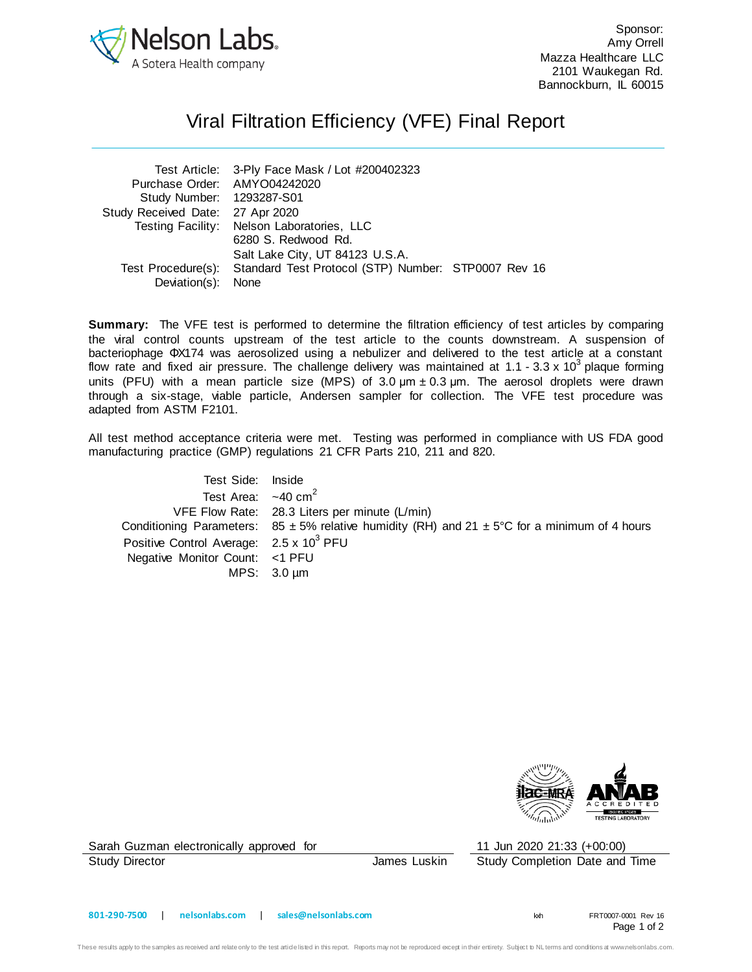

Sponsor: Amy Orrell Mazza Healthcare LLC 2101 Waukegan Rd. Bannockburn, IL 60015

## Viral Filtration Efficiency (VFE) Final Report

| Test Article: 3-Ply Face Mask / Lot #200402323 |                                                                        |
|------------------------------------------------|------------------------------------------------------------------------|
| Purchase Order: AMYO04242020                   |                                                                        |
| Study Number: 1293287-S01                      |                                                                        |
| Study Received Date: 27 Apr 2020               |                                                                        |
| Testing Facility: Nelson Laboratories, LLC     |                                                                        |
| 6280 S. Redwood Rd.                            |                                                                        |
| Salt Lake City, UT 84123 U.S.A.                |                                                                        |
|                                                |                                                                        |
| Deviation(s): None                             |                                                                        |
|                                                | Test Procedure(s): Standard Test Protocol (STP) Number: STP0007 Rev 16 |

**Summary:** The VFE test is performed to determine the filtration efficiency of test articles by comparing the viral control counts upstream of the test article to the counts downstream. A suspension of bacteriophage ΦX174 was aerosolized using a nebulizer and delivered to the test article at a constant flow rate and fixed air pressure. The challenge delivery was maintained at 1.1 - 3.3 x 10<sup>3</sup> plaque forming units (PFU) with a mean particle size (MPS) of 3.0  $\mu$ m  $\pm$  0.3  $\mu$ m. The aerosol droplets were drawn through a six-stage, viable particle, Andersen sampler for collection. The VFE test procedure was adapted from ASTM F2101.

All test method acceptance criteria were met. Testing was performed in compliance with US FDA good manufacturing practice (GMP) regulations 21 CFR Parts 210, 211 and 820.

| Test Side: Inside                                   |                                                                                                               |
|-----------------------------------------------------|---------------------------------------------------------------------------------------------------------------|
| Test Area: $\sim$ 40 cm <sup>2</sup>                |                                                                                                               |
|                                                     | VFE Flow Rate: 28.3 Liters per minute (L/min)                                                                 |
|                                                     | Conditioning Parameters: $85 \pm 5\%$ relative humidity (RH) and $21 \pm 5\degree$ C for a minimum of 4 hours |
| Positive Control Average: 2.5 x 10 <sup>3</sup> PFU |                                                                                                               |
| Negative Monitor Count: <1 PFU                      |                                                                                                               |
|                                                     | MPS: $3.0 \mu m$                                                                                              |



Sarah Guzman electronically approved for 11 Jun 2020 21:33 (+00:00)

Study Director **Study Director** James Luskin Study Completion Date and Time